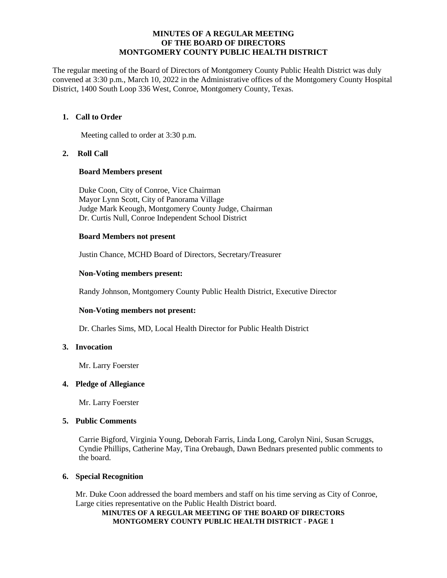#### **MINUTES OF A REGULAR MEETING OF THE BOARD OF DIRECTORS MONTGOMERY COUNTY PUBLIC HEALTH DISTRICT**

The regular meeting of the Board of Directors of Montgomery County Public Health District was duly convened at 3:30 p.m., March 10, 2022 in the Administrative offices of the Montgomery County Hospital District, 1400 South Loop 336 West, Conroe, Montgomery County, Texas.

# **1. Call to Order**

Meeting called to order at 3:30 p.m.

**2. Roll Call**

#### **Board Members present**

Duke Coon, City of Conroe, Vice Chairman Mayor Lynn Scott, City of Panorama Village Judge Mark Keough, Montgomery County Judge, Chairman Dr. Curtis Null, Conroe Independent School District

#### **Board Members not present**

Justin Chance, MCHD Board of Directors, Secretary/Treasurer

# **Non-Voting members present:**

Randy Johnson, Montgomery County Public Health District, Executive Director

# **Non-Voting members not present:**

Dr. Charles Sims, MD, Local Health Director for Public Health District

# **3. Invocation**

Mr. Larry Foerster

#### **4. Pledge of Allegiance**

Mr. Larry Foerster

#### **5. Public Comments**

Carrie Bigford, Virginia Young, Deborah Farris, Linda Long, Carolyn Nini, Susan Scruggs, Cyndie Phillips, Catherine May, Tina Orebaugh, Dawn Bednars presented public comments to the board.

# **6. Special Recognition**

Mr. Duke Coon addressed the board members and staff on his time serving as City of Conroe, Large cities representative on the Public Health District board.

#### **MINUTES OF A REGULAR MEETING OF THE BOARD OF DIRECTORS MONTGOMERY COUNTY PUBLIC HEALTH DISTRICT - PAGE 1**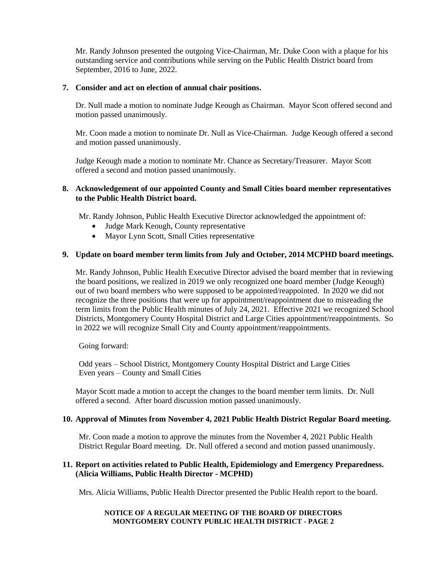Mr. Randy Johnson presented the outgoing Vice-Chairman, Mr. Duke Coon with a plaque for his outstanding service and contributions while serving on the Public Health District board from September, 2016 to June, 2022.

## **7. Consider and act on election of annual chair positions.**

Dr. Null made a motion to nominate Judge Keough as Chairman. Mayor Scott offered second and motion passed unanimously.

Mr. Coon made a motion to nominate Dr. Null as Vice-Chairman. Judge Keough offered a second and motion passed unanimously.

Judge Keough made a motion to nominate Mr. Chance as Secretary/Treasurer. Mayor Scott offered a second and motion passed unanimously.

### **8. Acknowledgement of our appointed County and Small Cities board member representatives to the Public Health District board.**

Mr. Randy Johnson, Public Health Executive Director acknowledged the appointment of:

- Judge Mark Keough, County representative
- Mayor Lynn Scott, Small Cities representative

# **9. Update on board member term limits from July and October, 2014 MCPHD board meetings.**

Mr. Randy Johnson, Public Health Executive Director advised the board member that in reviewing the board positions, we realized in 2019 we only recognized one board member (Judge Keough) out of two board members who were supposed to be appointed/reappointed. In 2020 we did not recognize the three positions that were up for appointment/reappointment due to misreading the term limits from the Public Health minutes of July 24, 2021. Effective 2021 we recognized School Districts, Montgomery County Hospital District and Large Cities appointment/reappointments. So in 2022 we will recognize Small City and County appointment/reappointments.

Going forward:

Odd years – School District, Montgomery County Hospital District and Large Cities Even years – County and Small Cities

Mayor Scott made a motion to accept the changes to the board member term limits. Dr. Null offered a second. After board discussion motion passed unanimously.

# **10. Approval of Minutes from November 4, 2021 Public Health District Regular Board meeting.**

Mr. Coon made a motion to approve the minutes from the November 4, 2021 Public Health District Regular Board meeting. Dr. Null offered a second and motion passed unanimously.

# **11. Report on activities related to Public Health, Epidemiology and Emergency Preparedness. (Alicia Williams, Public Health Director - MCPHD)**

Mrs. Alicia Williams, Public Health Director presented the Public Health report to the board.

#### **NOTICE OF A REGULAR MEETING OF THE BOARD OF DIRECTORS MONTGOMERY COUNTY PUBLIC HEALTH DISTRICT - PAGE 2**